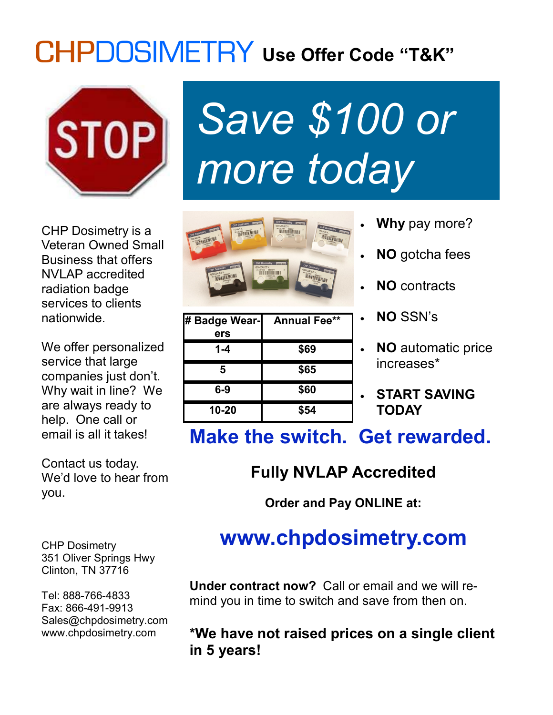## **Use Offer Code "T&K"**



CHP Dosimetry is a Veteran Owned Small Business that offers NVLAP accredited radiation badge services to clients nationwide.

We offer personalized service that large companies just don't. Why wait in line? We are always ready to help. One call or email is all it takes!

Contact us today. We'd love to hear from you.





| # Badge Wear-<br>ers | <b>Annual Fee**</b> |
|----------------------|---------------------|
| $1 - 4$              | \$69                |
| 5                    | \$65                |
| $6-9$                | \$60                |
| $10 - 20$            | \$54                |

- **Why** pay more?
- **NO** gotcha fees
- **NO** contracts
- **NO** SSN's
- **NO** automatic price increases\*
- **START SAVING TODAY**

**Make the switch. Get rewarded.**

### **Fully NVLAP Accredited**

**Order and Pay ONLINE at:**

### **www.chpdosimetry.com**

CHP Dosimetry 351 Oliver Springs Hwy Clinton, TN 37716

Tel: 888-766-4833 Fax: 866-491-9913 Sales@chpdosimetry.com www.chpdosimetry.com

**Under contract now?** Call or email and we will remind you in time to switch and save from then on.

#### **\*We have not raised prices on a single client in 5 years!**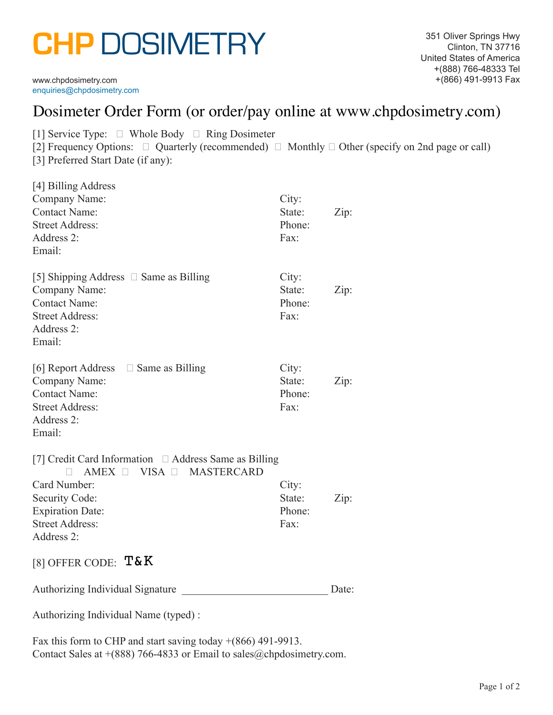# **CHP** DOSIMETRY

enquiries@chpdosimetry.com

| Dosimeter Order Form (or order/pay online at www.chpdosimetry.com)                                                                                                                                                 |                                   |       |  |  |
|--------------------------------------------------------------------------------------------------------------------------------------------------------------------------------------------------------------------|-----------------------------------|-------|--|--|
| [1] Service Type: $\Box$ Whole Body $\Box$ Ring Dosimeter<br>[2] Frequency Options: $\Box$ Quarterly (recommended) $\Box$ Monthly $\Box$ Other (specify on 2nd page or call)<br>[3] Preferred Start Date (if any): |                                   |       |  |  |
| [4] Billing Address<br>Company Name:<br><b>Contact Name:</b><br><b>Street Address:</b><br>Address 2:<br>Email:                                                                                                     | City:<br>State:<br>Phone:<br>Fax: | Zip:  |  |  |
| [5] Shipping Address $\Box$ Same as Billing<br>Company Name:<br><b>Contact Name:</b><br><b>Street Address:</b><br>Address 2:<br>Email:                                                                             | City:<br>State:<br>Phone:<br>Fax: | Zip:  |  |  |
| [6] Report Address $\Box$ Same as Billing<br>Company Name:<br><b>Contact Name:</b><br><b>Street Address:</b><br>Address 2:<br>Email:                                                                               | City:<br>State:<br>Phone:<br>Fax: | Zip:  |  |  |
| [7] Credit Card Information $\Box$ Address Same as Billing<br>AMEX □ VISA □ MASTERCARD<br>П.<br>Card Number:<br>Security Code:<br><b>Expiration Date:</b><br><b>Street Address:</b><br>Address 2:                  | City:<br>State:<br>Phone:<br>Fax: | Zip:  |  |  |
| [8] OFFER CODE: $T\&K$                                                                                                                                                                                             |                                   |       |  |  |
| Authorizing Individual Signature                                                                                                                                                                                   |                                   | Date: |  |  |
| Authorizing Individual Name (typed) :                                                                                                                                                                              |                                   |       |  |  |

Fax this form to CHP and start saving today  $+(866)$  491-9913. Contact Sales at  $+(888)$  766-4833 or Email to sales@chpdosimetry.com.